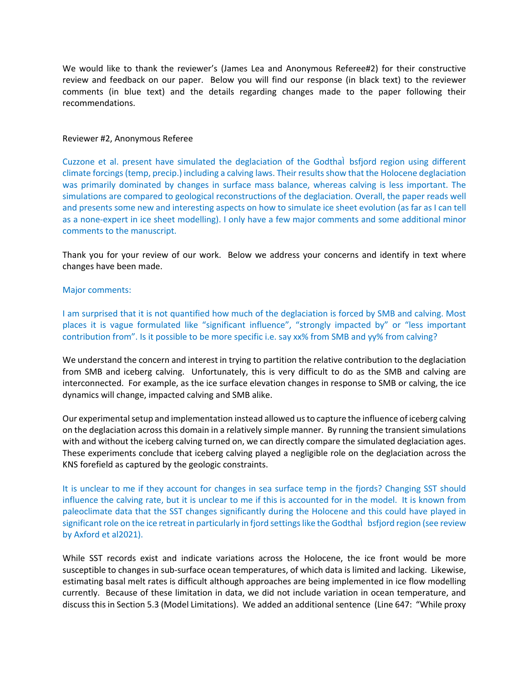We would like to thank the reviewer's (James Lea and Anonymous Referee#2) for their constructive review and feedback on our paper. Below you will find our response (in black text) to the reviewer comments (in blue text) and the details regarding changes made to the paper following their recommendations.

## Reviewer #2, Anonymous Referee

Cuzzone et al. present have simulated the deglaciation of the GodthaÌbsfjord region using different climate forcings (temp, precip.) including a calving laws. Their results show that the Holocene deglaciation was primarily dominated by changes in surface mass balance, whereas calving is less important. The simulations are compared to geological reconstructions of the deglaciation. Overall, the paper reads well and presents some new and interesting aspects on how to simulate ice sheet evolution (as far as I can tell as a none-expert in ice sheet modelling). I only have a few major comments and some additional minor comments to the manuscript.

Thank you for your review of our work. Below we address your concerns and identify in text where changes have been made.

## Major comments:

I am surprised that it is not quantified how much of the deglaciation is forced by SMB and calving. Most places it is vague formulated like "significant influence", "strongly impacted by" or "less important contribution from". Is it possible to be more specific i.e. say xx% from SMB and yy% from calving?

We understand the concern and interest in trying to partition the relative contribution to the deglaciation from SMB and iceberg calving. Unfortunately, this is very difficult to do as the SMB and calving are interconnected. For example, as the ice surface elevation changes in response to SMB or calving, the ice dynamics will change, impacted calving and SMB alike.

Our experimental setup and implementation instead allowed us to capture the influence of iceberg calving on the deglaciation across this domain in a relatively simple manner. By running the transient simulations with and without the iceberg calving turned on, we can directly compare the simulated deglaciation ages. These experiments conclude that iceberg calving played a negligible role on the deglaciation across the KNS forefield as captured by the geologic constraints.

It is unclear to me if they account for changes in sea surface temp in the fjords? Changing SST should influence the calving rate, but it is unclear to me if this is accounted for in the model. It is known from paleoclimate data that the SST changes significantly during the Holocene and this could have played in significant role on the ice retreat in particularly in fjord settings like the Godthal bsfjord region (see review by Axford et al2021).

While SST records exist and indicate variations across the Holocene, the ice front would be more susceptible to changes in sub-surface ocean temperatures, of which data is limited and lacking. Likewise, estimating basal melt rates is difficult although approaches are being implemented in ice flow modelling currently. Because of these limitation in data, we did not include variation in ocean temperature, and discuss this in Section 5.3 (Model Limitations). We added an additional sentence (Line 647: "While proxy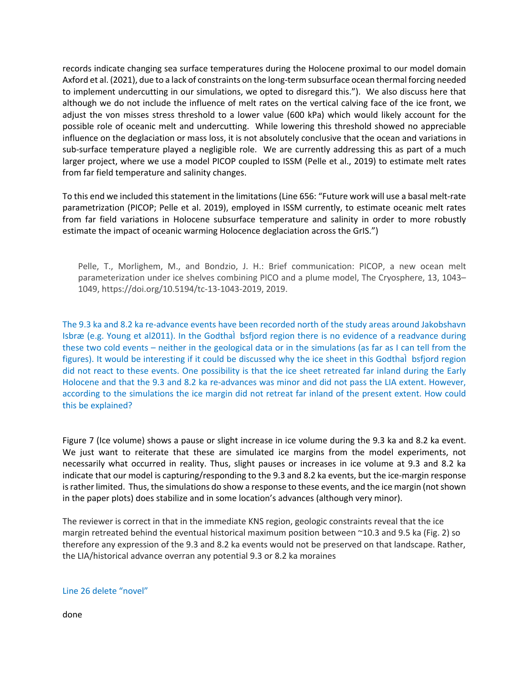records indicate changing sea surface temperatures during the Holocene proximal to our model domain Axford et al. (2021), due to a lack of constraints on the long-term subsurface ocean thermal forcing needed to implement undercutting in our simulations, we opted to disregard this."). We also discuss here that although we do not include the influence of melt rates on the vertical calving face of the ice front, we adjust the von misses stress threshold to a lower value (600 kPa) which would likely account for the possible role of oceanic melt and undercutting. While lowering this threshold showed no appreciable influence on the deglaciation or mass loss, it is not absolutely conclusive that the ocean and variations in sub-surface temperature played a negligible role. We are currently addressing this as part of a much larger project, where we use a model PICOP coupled to ISSM (Pelle et al., 2019) to estimate melt rates from far field temperature and salinity changes.

To this end we included this statement in the limitations (Line 656: "Future work will use a basal melt-rate parametrization (PICOP; Pelle et al. 2019), employed in ISSM currently, to estimate oceanic melt rates from far field variations in Holocene subsurface temperature and salinity in order to more robustly estimate the impact of oceanic warming Holocence deglaciation across the GrIS.")

Pelle, T., Morlighem, M., and Bondzio, J. H.: Brief communication: PICOP, a new ocean melt parameterization under ice shelves combining PICO and a plume model, The Cryosphere, 13, 1043– 1049, https://doi.org/10.5194/tc-13-1043-2019, 2019.

The 9.3 ka and 8.2 ka re-advance events have been recorded north of the study areas around Jakobshavn Isbræ (e.g. Young et al2011). In the Godthal bsfjord region there is no evidence of a readvance during these two cold events – neither in the geological data or in the simulations (as far as I can tell from the figures). It would be interesting if it could be discussed why the ice sheet in this Godthal bsfjord region did not react to these events. One possibility is that the ice sheet retreated far inland during the Early Holocene and that the 9.3 and 8.2 ka re-advances was minor and did not pass the LIA extent. However, according to the simulations the ice margin did not retreat far inland of the present extent. How could this be explained?

Figure 7 (Ice volume) shows a pause or slight increase in ice volume during the 9.3 ka and 8.2 ka event. We just want to reiterate that these are simulated ice margins from the model experiments, not necessarily what occurred in reality. Thus, slight pauses or increases in ice volume at 9.3 and 8.2 ka indicate that our model is capturing/responding to the 9.3 and 8.2 ka events, but the ice-margin response is rather limited. Thus, the simulations do show a response to these events, and the ice margin (not shown in the paper plots) does stabilize and in some location's advances (although very minor).

The reviewer is correct in that in the immediate KNS region, geologic constraints reveal that the ice margin retreated behind the eventual historical maximum position between ~10.3 and 9.5 ka (Fig. 2) so therefore any expression of the 9.3 and 8.2 ka events would not be preserved on that landscape. Rather, the LIA/historical advance overran any potential 9.3 or 8.2 ka moraines

## Line 26 delete "novel"

done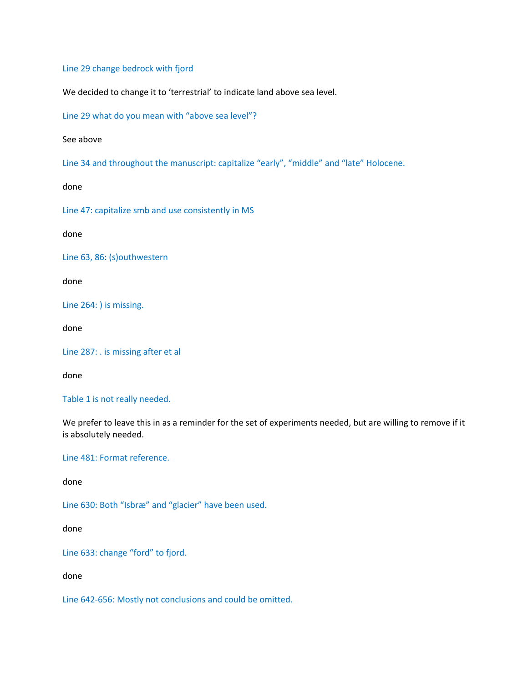Line 29 change bedrock with fjord

We decided to change it to 'terrestrial' to indicate land above sea level.

Line 29 what do you mean with "above sea level"?

See above

Line 34 and throughout the manuscript: capitalize "early", "middle" and "late" Holocene.

done

Line 47: capitalize smb and use consistently in MS

done

Line 63, 86: (s)outhwestern

done

Line 264: ) is missing.

done

Line 287: . is missing after et al

done

Table 1 is not really needed.

We prefer to leave this in as a reminder for the set of experiments needed, but are willing to remove if it is absolutely needed.

Line 481: Format reference.

done

Line 630: Both "Isbræ" and "glacier" have been used.

done

Line 633: change "ford" to fjord.

done

Line 642-656: Mostly not conclusions and could be omitted.